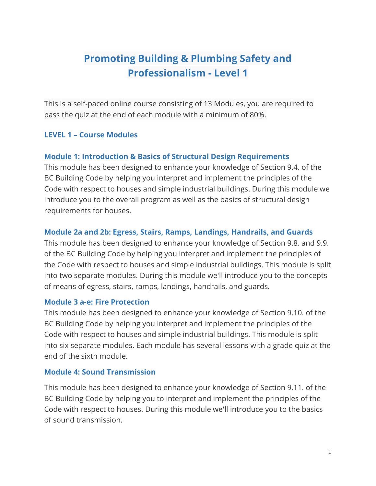# Promoting Building & Plumbing Safety and Professionalism - Level 1

This is a self-paced online course consisting of 13 Modules, you are required to pass the quiz at the end of each module with a minimum of 80%.

#### LEVEL 1 – Course Modules

#### Module 1: Introduction & Basics of Structural Design Requirements

This module has been designed to enhance your knowledge of Section 9.4. of the BC Building Code by helping you interpret and implement the principles of the Code with respect to houses and simple industrial buildings. During this module we introduce you to the overall program as well as the basics of structural design requirements for houses.

#### Module 2a and 2b: Egress, Stairs, Ramps, Landings, Handrails, and Guards

This module has been designed to enhance your knowledge of Section 9.8. and 9.9. of the BC Building Code by helping you interpret and implement the principles of the Code with respect to houses and simple industrial buildings. This module is split into two separate modules. During this module we'll introduce you to the concepts of means of egress, stairs, ramps, landings, handrails, and guards.

#### Module 3 a-e: Fire Protection

This module has been designed to enhance your knowledge of Section 9.10. of the BC Building Code by helping you interpret and implement the principles of the Code with respect to houses and simple industrial buildings. This module is split into six separate modules. Each module has several lessons with a grade quiz at the end of the sixth module.

#### Module 4: Sound Transmission

This module has been designed to enhance your knowledge of Section 9.11. of the BC Building Code by helping you to interpret and implement the principles of the Code with respect to houses. During this module we'll introduce you to the basics of sound transmission.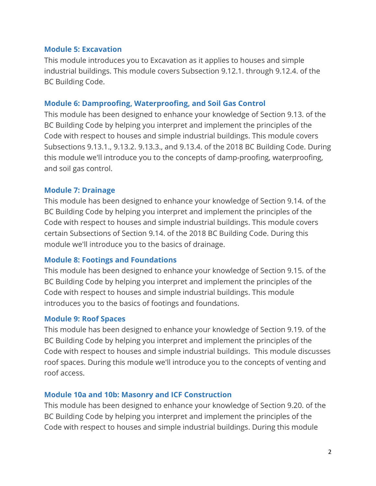#### Module 5: Excavation

This module introduces you to Excavation as it applies to houses and simple industrial buildings. This module covers Subsection 9.12.1. through 9.12.4. of the BC Building Code.

# Module 6: Damproofing, Waterproofing, and Soil Gas Control

This module has been designed to enhance your knowledge of Section 9.13. of the BC Building Code by helping you interpret and implement the principles of the Code with respect to houses and simple industrial buildings. This module covers Subsections 9.13.1., 9.13.2. 9.13.3., and 9.13.4. of the 2018 BC Building Code. During this module we'll introduce you to the concepts of damp-proofing, waterproofing, and soil gas control.

# Module 7: Drainage

This module has been designed to enhance your knowledge of Section 9.14. of the BC Building Code by helping you interpret and implement the principles of the Code with respect to houses and simple industrial buildings. This module covers certain Subsections of Section 9.14. of the 2018 BC Building Code. During this module we'll introduce you to the basics of drainage.

# Module 8: Footings and Foundations

This module has been designed to enhance your knowledge of Section 9.15. of the BC Building Code by helping you interpret and implement the principles of the Code with respect to houses and simple industrial buildings. This module introduces you to the basics of footings and foundations.

# Module 9: Roof Spaces

This module has been designed to enhance your knowledge of Section 9.19. of the BC Building Code by helping you interpret and implement the principles of the Code with respect to houses and simple industrial buildings. This module discusses roof spaces. During this module we'll introduce you to the concepts of venting and roof access.

# Module 10a and 10b: Masonry and ICF Construction

This module has been designed to enhance your knowledge of Section 9.20. of the BC Building Code by helping you interpret and implement the principles of the Code with respect to houses and simple industrial buildings. During this module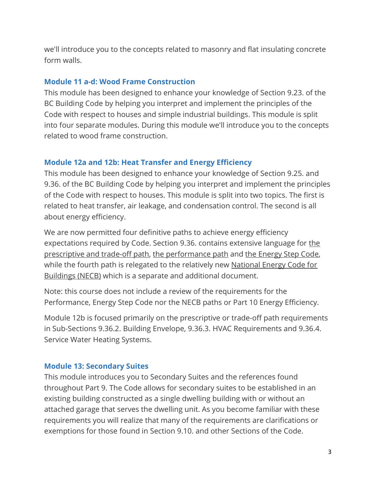we'll introduce you to the concepts related to masonry and flat insulating concrete form walls.

#### Module 11 a-d: Wood Frame Construction

This module has been designed to enhance your knowledge of Section 9.23. of the BC Building Code by helping you interpret and implement the principles of the Code with respect to houses and simple industrial buildings. This module is split into four separate modules. During this module we'll introduce you to the concepts related to wood frame construction.

# Module 12a and 12b: Heat Transfer and Energy Efficiency

This module has been designed to enhance your knowledge of Section 9.25. and 9.36. of the BC Building Code by helping you interpret and implement the principles of the Code with respect to houses. This module is split into two topics. The first is related to heat transfer, air leakage, and condensation control. The second is all about energy efficiency.

We are now permitted four definitive paths to achieve energy efficiency expectations required by Code. Section 9.36. contains extensive language for the prescriptive and trade-off path, the performance path and the Energy Step Code, while the fourth path is relegated to the relatively new National Energy Code for Buildings (NECB) which is a separate and additional document.

Note: this course does not include a review of the requirements for the Performance, Energy Step Code nor the NECB paths or Part 10 Energy Efficiency.

Module 12b is focused primarily on the prescriptive or trade-off path requirements in Sub-Sections 9.36.2. Building Envelope, 9.36.3. HVAC Requirements and 9.36.4. Service Water Heating Systems.

# Module 13: Secondary Suites

This module introduces you to Secondary Suites and the references found throughout Part 9. The Code allows for secondary suites to be established in an existing building constructed as a single dwelling building with or without an attached garage that serves the dwelling unit. As you become familiar with these requirements you will realize that many of the requirements are clarifications or exemptions for those found in Section 9.10. and other Sections of the Code.